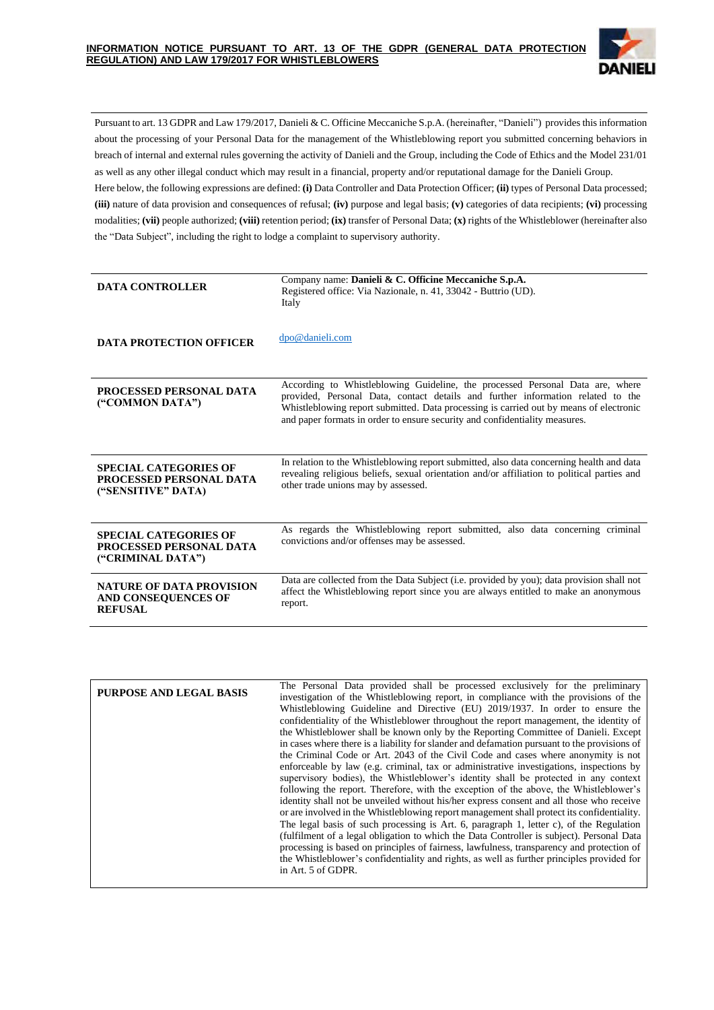

Pursuant to art. 13 GDPR and Law 179/2017, Danieli & C. Officine Meccaniche S.p.A. (hereinafter, "Danieli") provides this information about the processing of your Personal Data for the management of the Whistleblowing report you submitted concerning behaviors in breach of internal and external rules governing the activity of Danieli and the Group, including the Code of Ethics and the Model 231/01 as well as any other illegal conduct which may result in a financial, property and/or reputational damage for the Danieli Group. Here below, the following expressions are defined: **(i)** Data Controller and Data Protection Officer; **(ii)** types of Personal Data processed; **(iii)** nature of data provision and consequences of refusal; **(iv)** purpose and legal basis; **(v)** categories of data recipients; **(vi)** processing modalities; **(vii)** people authorized; **(viii)** retention period; **(ix)** transfer of Personal Data; **(x)** rights of the Whistleblower (hereinafter also the "Data Subject", including the right to lodge a complaint to supervisory authority.

| <b>DATA CONTROLLER</b>                                                        | Company name: Danieli & C. Officine Meccaniche S.p.A.<br>Registered office: Via Nazionale, n. 41, 33042 - Buttrio (UD).<br>Italy                                                                                                                                                                                                          |  |  |  |  |  |  |
|-------------------------------------------------------------------------------|-------------------------------------------------------------------------------------------------------------------------------------------------------------------------------------------------------------------------------------------------------------------------------------------------------------------------------------------|--|--|--|--|--|--|
| <b>DATA PROTECTION OFFICER</b>                                                | dpo@danieli.com                                                                                                                                                                                                                                                                                                                           |  |  |  |  |  |  |
| PROCESSED PERSONAL DATA<br>("COMMON DATA")                                    | According to Whistleblowing Guideline, the processed Personal Data are, where<br>provided, Personal Data, contact details and further information related to the<br>Whistleblowing report submitted. Data processing is carried out by means of electronic<br>and paper formats in order to ensure security and confidentiality measures. |  |  |  |  |  |  |
| <b>SPECIAL CATEGORIES OF</b><br>PROCESSED PERSONAL DATA<br>("SENSITIVE" DATA) | In relation to the Whistleblowing report submitted, also data concerning health and data<br>revealing religious beliefs, sexual orientation and/or affiliation to political parties and<br>other trade unions may by assessed.                                                                                                            |  |  |  |  |  |  |
| <b>SPECIAL CATEGORIES OF</b><br>PROCESSED PERSONAL DATA<br>("CRIMINAL DATA")  | As regards the Whistleblowing report submitted, also data concerning criminal<br>convictions and/or offenses may be assessed.                                                                                                                                                                                                             |  |  |  |  |  |  |
| <b>NATURE OF DATA PROVISION</b><br>AND CONSEQUENCES OF<br><b>REFUSAL</b>      | Data are collected from the Data Subject (i.e. provided by you); data provision shall not<br>affect the Whistleblowing report since you are always entitled to make an anonymous<br>report.                                                                                                                                               |  |  |  |  |  |  |

| <b>PURPOSE AND LEGAL BASIS</b> | The Personal Data provided shall be processed exclusively for the preliminary                |
|--------------------------------|----------------------------------------------------------------------------------------------|
|                                | investigation of the Whistleblowing report, in compliance with the provisions of the         |
|                                | Whistleblowing Guideline and Directive (EU) 2019/1937. In order to ensure the                |
|                                | confidentiality of the Whistleblower throughout the report management, the identity of       |
|                                | the Whistleblower shall be known only by the Reporting Committee of Danieli. Except          |
|                                | in cases where there is a liability for slander and defamation pursuant to the provisions of |
|                                | the Criminal Code or Art. 2043 of the Civil Code and cases where anonymity is not            |
|                                | enforceable by law (e.g. criminal, tax or administrative investigations, inspections by      |
|                                | supervisory bodies), the Whistleblower's identity shall be protected in any context          |
|                                | following the report. Therefore, with the exception of the above, the Whistleblower's        |
|                                | identity shall not be unveiled without his/her express consent and all those who receive     |
|                                | or are involved in the Whistleblowing report management shall protect its confidentiality.   |
|                                | The legal basis of such processing is Art. 6, paragraph 1, letter c), of the Regulation      |
|                                | (fulfilment of a legal obligation to which the Data Controller is subject). Personal Data    |
|                                |                                                                                              |
|                                | processing is based on principles of fairness, lawfulness, transparency and protection of    |
|                                | the Whistleblower's confidentiality and rights, as well as further principles provided for   |
|                                | in Art. 5 of GDPR.                                                                           |
|                                |                                                                                              |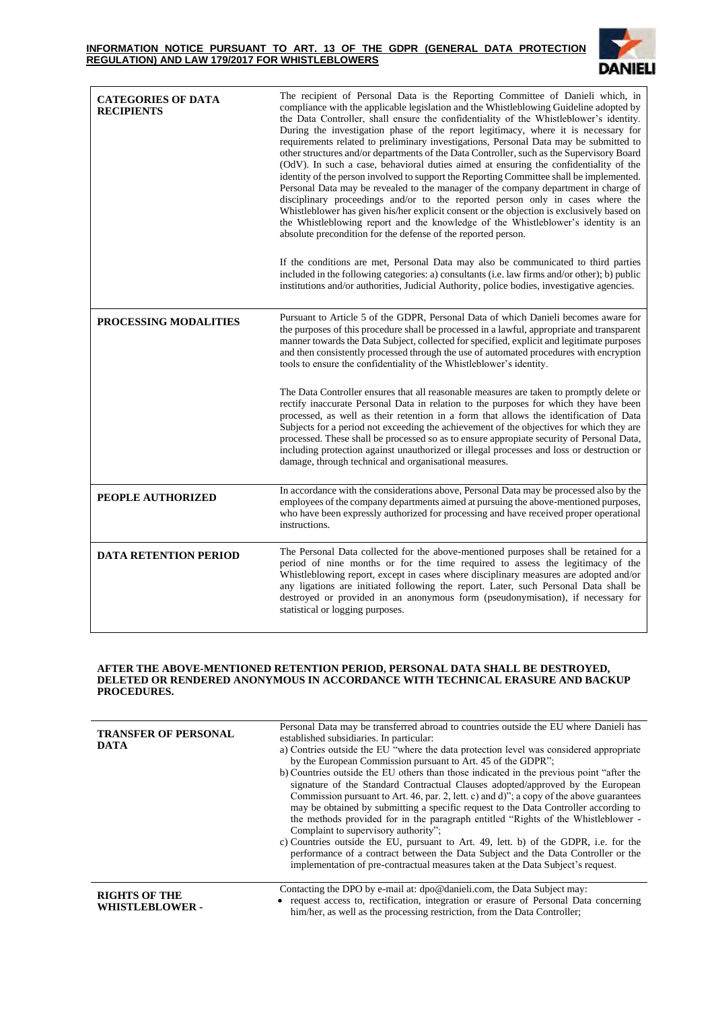## **INFORMATION NOTICE PURSUANT TO ART. 13 OF THE GDPR (GENERAL DATA PROTECTION REGULATION) AND LAW 179/2017 FOR WHISTLEBLOWERS**



| <b>CATEGORIES OF DATA</b><br><b>RECIPIENTS</b> | The recipient of Personal Data is the Reporting Committee of Danieli which, in<br>compliance with the applicable legislation and the Whistleblowing Guideline adopted by<br>the Data Controller, shall ensure the confidentiality of the Whistleblower's identity.<br>During the investigation phase of the report legitimacy, where it is necessary for<br>requirements related to preliminary investigations, Personal Data may be submitted to<br>other structures and/or departments of the Data Controller, such as the Supervisory Board<br>(OdV). In such a case, behavioral duties aimed at ensuring the confidentiality of the<br>identity of the person involved to support the Reporting Committee shall be implemented.<br>Personal Data may be revealed to the manager of the company department in charge of<br>disciplinary proceedings and/or to the reported person only in cases where the<br>Whistleblower has given his/her explicit consent or the objection is exclusively based on<br>the Whistleblowing report and the knowledge of the Whistleblower's identity is an<br>absolute precondition for the defense of the reported person.<br>If the conditions are met, Personal Data may also be communicated to third parties<br>included in the following categories: a) consultants (i.e. law firms and/or other); b) public<br>institutions and/or authorities, Judicial Authority, police bodies, investigative agencies. |
|------------------------------------------------|-------------------------------------------------------------------------------------------------------------------------------------------------------------------------------------------------------------------------------------------------------------------------------------------------------------------------------------------------------------------------------------------------------------------------------------------------------------------------------------------------------------------------------------------------------------------------------------------------------------------------------------------------------------------------------------------------------------------------------------------------------------------------------------------------------------------------------------------------------------------------------------------------------------------------------------------------------------------------------------------------------------------------------------------------------------------------------------------------------------------------------------------------------------------------------------------------------------------------------------------------------------------------------------------------------------------------------------------------------------------------------------------------------------------------------------------------------|
| PROCESSING MODALITIES                          | Pursuant to Article 5 of the GDPR, Personal Data of which Danieli becomes aware for<br>the purposes of this procedure shall be processed in a lawful, appropriate and transparent<br>manner towards the Data Subject, collected for specified, explicit and legitimate purposes<br>and then consistently processed through the use of automated procedures with encryption<br>tools to ensure the confidentiality of the Whistleblower's identity.                                                                                                                                                                                                                                                                                                                                                                                                                                                                                                                                                                                                                                                                                                                                                                                                                                                                                                                                                                                                    |
|                                                | The Data Controller ensures that all reasonable measures are taken to promptly delete or<br>rectify inaccurate Personal Data in relation to the purposes for which they have been<br>processed, as well as their retention in a form that allows the identification of Data<br>Subjects for a period not exceeding the achievement of the objectives for which they are<br>processed. These shall be processed so as to ensure appropiate security of Personal Data,<br>including protection against unauthorized or illegal processes and loss or destruction or<br>damage, through technical and organisational measures.                                                                                                                                                                                                                                                                                                                                                                                                                                                                                                                                                                                                                                                                                                                                                                                                                           |
| PEOPLE AUTHORIZED                              | In accordance with the considerations above, Personal Data may be processed also by the<br>employees of the company departments aimed at pursuing the above-mentioned purposes,<br>who have been expressly authorized for processing and have received proper operational<br>instructions.                                                                                                                                                                                                                                                                                                                                                                                                                                                                                                                                                                                                                                                                                                                                                                                                                                                                                                                                                                                                                                                                                                                                                            |
| <b>DATA RETENTION PERIOD</b>                   | The Personal Data collected for the above-mentioned purposes shall be retained for a<br>period of nine months or for the time required to assess the legitimacy of the<br>Whistleblowing report, except in cases where disciplinary measures are adopted and/or<br>any ligations are initiated following the report. Later, such Personal Data shall be<br>destroyed or provided in an anonymous form (pseudonymisation), if necessary for<br>statistical or logging purposes.                                                                                                                                                                                                                                                                                                                                                                                                                                                                                                                                                                                                                                                                                                                                                                                                                                                                                                                                                                        |

## **AFTER THE ABOVE-MENTIONED RETENTION PERIOD, PERSONAL DATA SHALL BE DESTROYED, DELETED OR RENDERED ANONYMOUS IN ACCORDANCE WITH TECHNICAL ERASURE AND BACKUP PROCEDURES.**

| <b>TRANSFER OF PERSONAL</b><br><b>DATA</b>     | Personal Data may be transferred abroad to countries outside the EU where Danieli has<br>established subsidiaries. In particular:<br>a) Contries outside the EU "where the data protection level was considered appropriate<br>by the European Commission pursuant to Art. 45 of the GDPR";<br>b) Countries outside the EU others than those indicated in the previous point "after the<br>signature of the Standard Contractual Clauses adopted/approved by the European<br>Commission pursuant to Art. 46, par. 2, lett. c) and d)"; a copy of the above guarantees<br>may be obtained by submitting a specific request to the Data Controller according to<br>the methods provided for in the paragraph entitled "Rights of the Whistleblower -<br>Complaint to supervisory authority"; |
|------------------------------------------------|--------------------------------------------------------------------------------------------------------------------------------------------------------------------------------------------------------------------------------------------------------------------------------------------------------------------------------------------------------------------------------------------------------------------------------------------------------------------------------------------------------------------------------------------------------------------------------------------------------------------------------------------------------------------------------------------------------------------------------------------------------------------------------------------|
|                                                | c) Countries outside the EU, pursuant to Art. 49, lett. b) of the GDPR, i.e. for the<br>performance of a contract between the Data Subject and the Data Controller or the<br>implementation of pre-contractual measures taken at the Data Subject's request.                                                                                                                                                                                                                                                                                                                                                                                                                                                                                                                               |
| <b>RIGHTS OF THE</b><br><b>WHISTLEBLOWER -</b> | Contacting the DPO by e-mail at: dpo@danieli.com, the Data Subject may:<br>request access to, rectification, integration or erasure of Personal Data concerning<br>him/her, as well as the processing restriction, from the Data Controller;                                                                                                                                                                                                                                                                                                                                                                                                                                                                                                                                               |